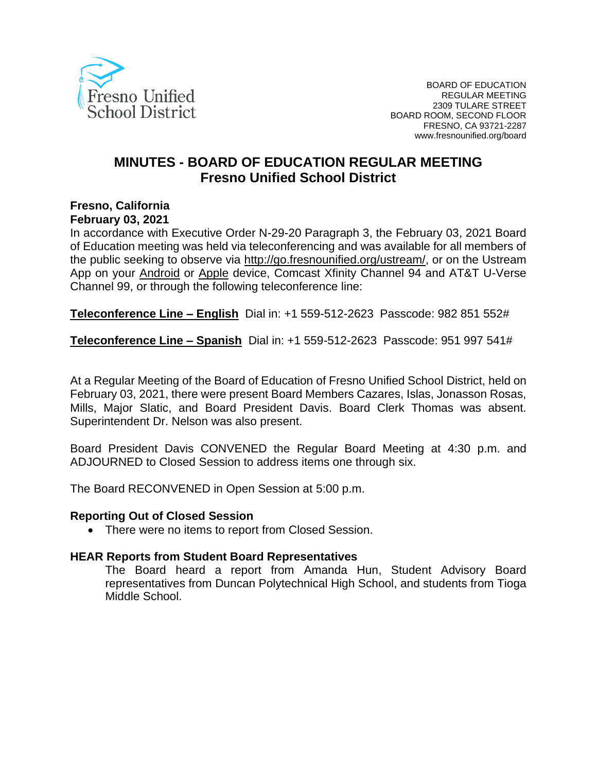

# **MINUTES - BOARD OF EDUCATION REGULAR MEETING Fresno Unified School District**

# **Fresno, California**

#### **February 03, 2021**

In accordance with Executive Order N-29-20 Paragraph 3, the February 03, 2021 Board of Education meeting was held via teleconferencing and was available for all members of the public seeking to observe via [http://go.fresnounified.org/ustream/,](http://go.fresnounified.org/ustream/) or on the Ustream App on your [Android](https://play.google.com/store/apps/details?id=tv.ustream.ustream&hl=en_US) or [Apple](https://itunes.apple.com/us/app/ustream/id301520250?mt=8) device, Comcast Xfinity Channel 94 and AT&T U-Verse Channel 99, or through the following teleconference line:

**Teleconference Line – English** Dial in: +1 559-512-2623 Passcode: 982 851 552#

**Teleconference Line – Spanish** Dial in: +1 559-512-2623 Passcode: 951 997 541#

At a Regular Meeting of the Board of Education of Fresno Unified School District, held on February 03, 2021, there were present Board Members Cazares, Islas, Jonasson Rosas, Mills, Major Slatic, and Board President Davis. Board Clerk Thomas was absent. Superintendent Dr. Nelson was also present.

Board President Davis CONVENED the Regular Board Meeting at 4:30 p.m. and ADJOURNED to Closed Session to address items one through six.

The Board RECONVENED in Open Session at 5:00 p.m.

#### **Reporting Out of Closed Session**

• There were no items to report from Closed Session.

#### **HEAR Reports from Student Board Representatives**

The Board heard a report from Amanda Hun, Student Advisory Board representatives from Duncan Polytechnical High School, and students from Tioga Middle School.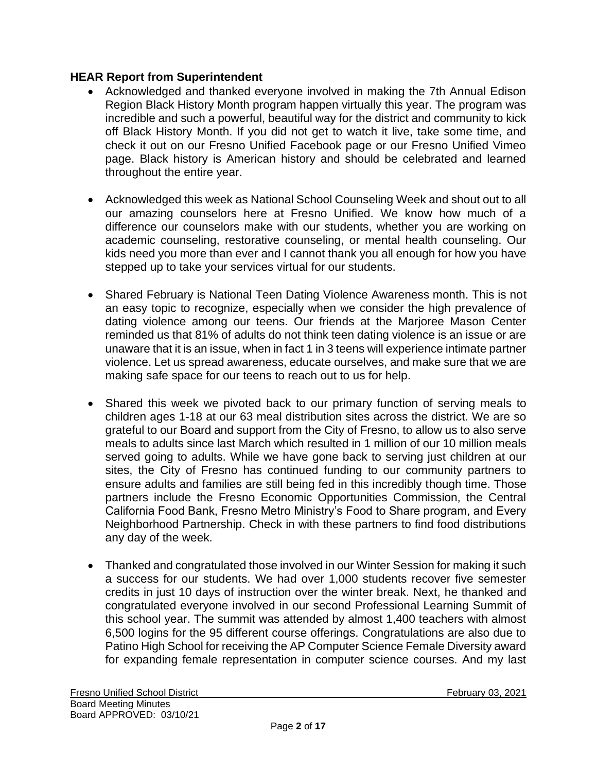# **HEAR Report from Superintendent**

- Acknowledged and thanked everyone involved in making the 7th Annual Edison Region Black History Month program happen virtually this year. The program was incredible and such a powerful, beautiful way for the district and community to kick off Black History Month. If you did not get to watch it live, take some time, and check it out on our Fresno Unified Facebook page or our Fresno Unified Vimeo page. Black history is American history and should be celebrated and learned throughout the entire year.
- Acknowledged this week as National School Counseling Week and shout out to all our amazing counselors here at Fresno Unified. We know how much of a difference our counselors make with our students, whether you are working on academic counseling, restorative counseling, or mental health counseling. Our kids need you more than ever and I cannot thank you all enough for how you have stepped up to take your services virtual for our students.
- Shared February is National Teen Dating Violence Awareness month. This is not an easy topic to recognize, especially when we consider the high prevalence of dating violence among our teens. Our friends at the Marjoree Mason Center reminded us that 81% of adults do not think teen dating violence is an issue or are unaware that it is an issue, when in fact 1 in 3 teens will experience intimate partner violence. Let us spread awareness, educate ourselves, and make sure that we are making safe space for our teens to reach out to us for help.
- Shared this week we pivoted back to our primary function of serving meals to children ages 1-18 at our 63 meal distribution sites across the district. We are so grateful to our Board and support from the City of Fresno, to allow us to also serve meals to adults since last March which resulted in 1 million of our 10 million meals served going to adults. While we have gone back to serving just children at our sites, the City of Fresno has continued funding to our community partners to ensure adults and families are still being fed in this incredibly though time. Those partners include the Fresno Economic Opportunities Commission, the Central California Food Bank, Fresno Metro Ministry's Food to Share program, and Every Neighborhood Partnership. Check in with these partners to find food distributions any day of the week.
- Thanked and congratulated those involved in our Winter Session for making it such a success for our students. We had over 1,000 students recover five semester credits in just 10 days of instruction over the winter break. Next, he thanked and congratulated everyone involved in our second Professional Learning Summit of this school year. The summit was attended by almost 1,400 teachers with almost 6,500 logins for the 95 different course offerings. Congratulations are also due to Patino High School for receiving the AP Computer Science Female Diversity award for expanding female representation in computer science courses. And my last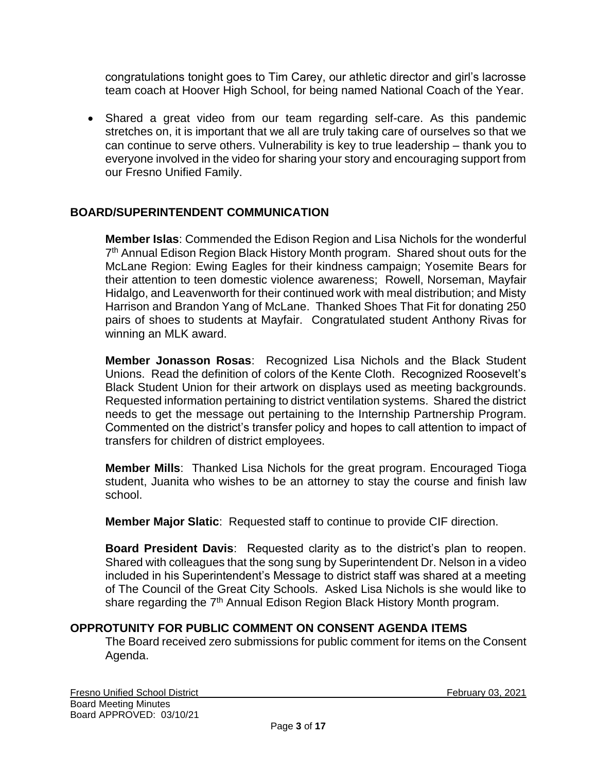congratulations tonight goes to Tim Carey, our athletic director and girl's lacrosse team coach at Hoover High School, for being named National Coach of the Year.

• Shared a great video from our team regarding self-care. As this pandemic stretches on, it is important that we all are truly taking care of ourselves so that we can continue to serve others. Vulnerability is key to true leadership – thank you to everyone involved in the video for sharing your story and encouraging support from our Fresno Unified Family.

# **BOARD/SUPERINTENDENT COMMUNICATION**

**Member Islas**: Commended the Edison Region and Lisa Nichols for the wonderful 7<sup>th</sup> Annual Edison Region Black History Month program. Shared shout outs for the McLane Region: Ewing Eagles for their kindness campaign; Yosemite Bears for their attention to teen domestic violence awareness; Rowell, Norseman, Mayfair Hidalgo, and Leavenworth for their continued work with meal distribution; and Misty Harrison and Brandon Yang of McLane. Thanked Shoes That Fit for donating 250 pairs of shoes to students at Mayfair. Congratulated student Anthony Rivas for winning an MLK award.

**Member Jonasson Rosas**: Recognized Lisa Nichols and the Black Student Unions. Read the definition of colors of the Kente Cloth. Recognized Roosevelt's Black Student Union for their artwork on displays used as meeting backgrounds. Requested information pertaining to district ventilation systems. Shared the district needs to get the message out pertaining to the Internship Partnership Program. Commented on the district's transfer policy and hopes to call attention to impact of transfers for children of district employees.

**Member Mills**: Thanked Lisa Nichols for the great program. Encouraged Tioga student, Juanita who wishes to be an attorney to stay the course and finish law school.

**Member Major Slatic**: Requested staff to continue to provide CIF direction.

**Board President Davis**: Requested clarity as to the district's plan to reopen. Shared with colleagues that the song sung by Superintendent Dr. Nelson in a video included in his Superintendent's Message to district staff was shared at a meeting of The Council of the Great City Schools. Asked Lisa Nichols is she would like to share regarding the 7<sup>th</sup> Annual Edison Region Black History Month program.

#### **OPPROTUNITY FOR PUBLIC COMMENT ON CONSENT AGENDA ITEMS**

The Board received zero submissions for public comment for items on the Consent Agenda.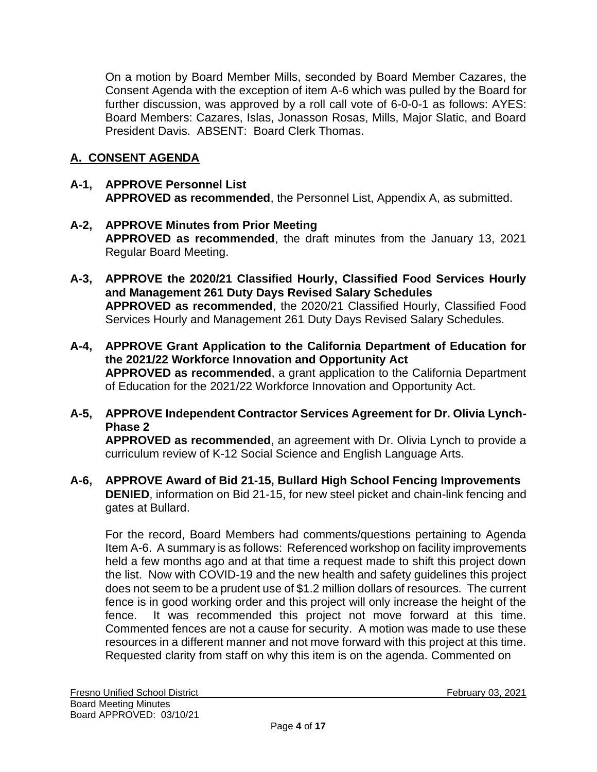On a motion by Board Member Mills, seconded by Board Member Cazares, the Consent Agenda with the exception of item A-6 which was pulled by the Board for further discussion, was approved by a roll call vote of 6-0-0-1 as follows: AYES: Board Members: Cazares, Islas, Jonasson Rosas, Mills, Major Slatic, and Board President Davis. ABSENT: Board Clerk Thomas.

# **A. CONSENT AGENDA**

# **A-1, APPROVE Personnel List APPROVED as recommended**, the Personnel List, Appendix A, as submitted.

### **A-2, APPROVE Minutes from Prior Meeting APPROVED as recommended**, the draft minutes from the January 13, 2021 Regular Board Meeting.

- **A-3, APPROVE the 2020/21 Classified Hourly, Classified Food Services Hourly and Management 261 Duty Days Revised Salary Schedules APPROVED as recommended**, the 2020/21 Classified Hourly, Classified Food Services Hourly and Management 261 Duty Days Revised Salary Schedules.
- **A-4, APPROVE Grant Application to the California Department of Education for the 2021/22 Workforce Innovation and Opportunity Act APPROVED as recommended**, a grant application to the California Department of Education for the 2021/22 Workforce Innovation and Opportunity Act.

# **A-5, APPROVE Independent Contractor Services Agreement for Dr. Olivia Lynch-Phase 2**

**APPROVED as recommended**, an agreement with Dr. Olivia Lynch to provide a curriculum review of K-12 Social Science and English Language Arts.

### **A-6, APPROVE Award of Bid 21-15, Bullard High School Fencing Improvements DENIED**, information on Bid 21-15, for new steel picket and chain-link fencing and gates at Bullard.

For the record, Board Members had comments/questions pertaining to Agenda Item A-6. A summary is as follows: Referenced workshop on facility improvements held a few months ago and at that time a request made to shift this project down the list. Now with COVID-19 and the new health and safety guidelines this project does not seem to be a prudent use of \$1.2 million dollars of resources. The current fence is in good working order and this project will only increase the height of the fence. It was recommended this project not move forward at this time. Commented fences are not a cause for security. A motion was made to use these resources in a different manner and not move forward with this project at this time. Requested clarity from staff on why this item is on the agenda. Commented on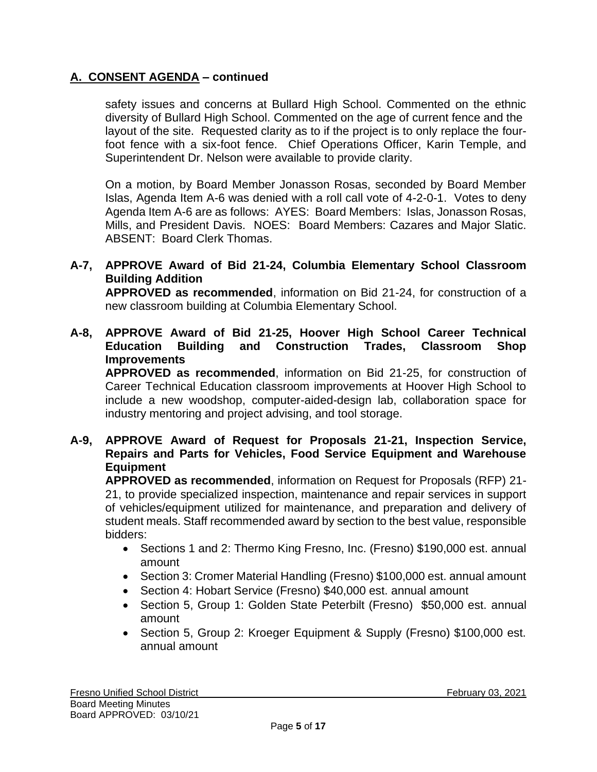# **A. CONSENT AGENDA – continued**

safety issues and concerns at Bullard High School. Commented on the ethnic diversity of Bullard High School. Commented on the age of current fence and the layout of the site. Requested clarity as to if the project is to only replace the fourfoot fence with a six-foot fence. Chief Operations Officer, Karin Temple, and Superintendent Dr. Nelson were available to provide clarity.

On a motion, by Board Member Jonasson Rosas, seconded by Board Member Islas, Agenda Item A-6 was denied with a roll call vote of 4-2-0-1. Votes to deny Agenda Item A-6 are as follows: AYES: Board Members: Islas, Jonasson Rosas, Mills, and President Davis. NOES: Board Members: Cazares and Major Slatic. ABSENT: Board Clerk Thomas.

#### **A-7, APPROVE Award of Bid 21-24, Columbia Elementary School Classroom Building Addition**

**APPROVED as recommended**, information on Bid 21-24, for construction of a new classroom building at Columbia Elementary School.

**A-8, APPROVE Award of Bid 21-25, Hoover High School Career Technical Education Building and Construction Trades, Classroom Shop Improvements**

**APPROVED as recommended**, information on Bid 21-25, for construction of Career Technical Education classroom improvements at Hoover High School to include a new woodshop, computer-aided-design lab, collaboration space for industry mentoring and project advising, and tool storage.

**A-9, APPROVE Award of Request for Proposals 21-21, Inspection Service, Repairs and Parts for Vehicles, Food Service Equipment and Warehouse Equipment**

**APPROVED as recommended**, information on Request for Proposals (RFP) 21- 21, to provide specialized inspection, maintenance and repair services in support of vehicles/equipment utilized for maintenance, and preparation and delivery of student meals. Staff recommended award by section to the best value, responsible bidders:

- Sections 1 and 2: Thermo King Fresno, Inc. (Fresno) \$190,000 est. annual amount
- Section 3: Cromer Material Handling (Fresno) \$100,000 est. annual amount
- Section 4: Hobart Service (Fresno) \$40,000 est. annual amount
- Section 5, Group 1: Golden State Peterbilt (Fresno) \$50,000 est. annual amount
- Section 5, Group 2: Kroeger Equipment & Supply (Fresno) \$100,000 est. annual amount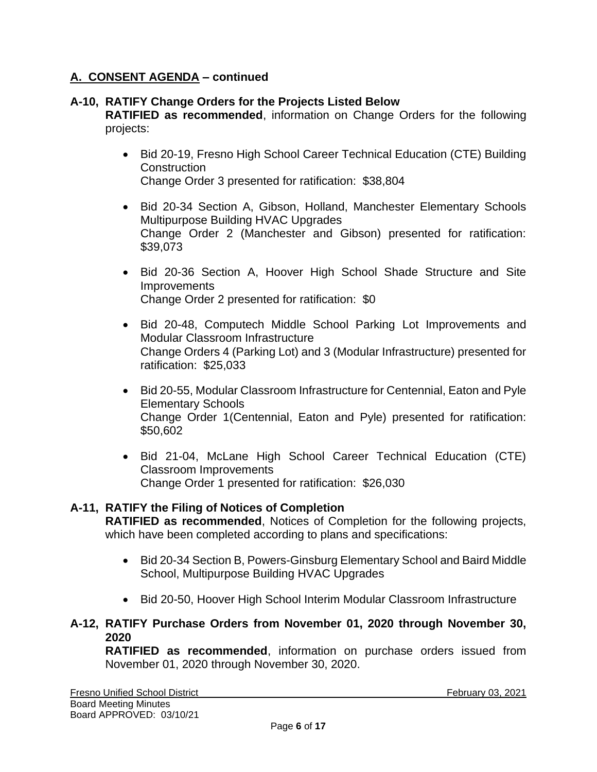# **A. CONSENT AGENDA – continued**

# **A-10, RATIFY Change Orders for the Projects Listed Below**

**RATIFIED as recommended**, information on Change Orders for the following projects:

- Bid 20-19, Fresno High School Career Technical Education (CTE) Building **Construction** Change Order 3 presented for ratification: \$38,804
- Bid 20-34 Section A, Gibson, Holland, Manchester Elementary Schools Multipurpose Building HVAC Upgrades Change Order 2 (Manchester and Gibson) presented for ratification: \$39,073
- Bid 20-36 Section A, Hoover High School Shade Structure and Site **Improvements** Change Order 2 presented for ratification: \$0
- Bid 20-48, Computech Middle School Parking Lot Improvements and Modular Classroom Infrastructure Change Orders 4 (Parking Lot) and 3 (Modular Infrastructure) presented for ratification: \$25,033
- Bid 20-55, Modular Classroom Infrastructure for Centennial, Eaton and Pyle Elementary Schools Change Order 1(Centennial, Eaton and Pyle) presented for ratification: \$50,602
- Bid 21-04, McLane High School Career Technical Education (CTE) Classroom Improvements Change Order 1 presented for ratification: \$26,030

# **A-11, RATIFY the Filing of Notices of Completion**

**RATIFIED as recommended**, Notices of Completion for the following projects, which have been completed according to plans and specifications:

- Bid 20-34 Section B, Powers-Ginsburg Elementary School and Baird Middle School, Multipurpose Building HVAC Upgrades
- Bid 20-50, Hoover High School Interim Modular Classroom Infrastructure

#### **A-12, RATIFY Purchase Orders from November 01, 2020 through November 30, 2020**

**RATIFIED as recommended**, information on purchase orders issued from November 01, 2020 through November 30, 2020.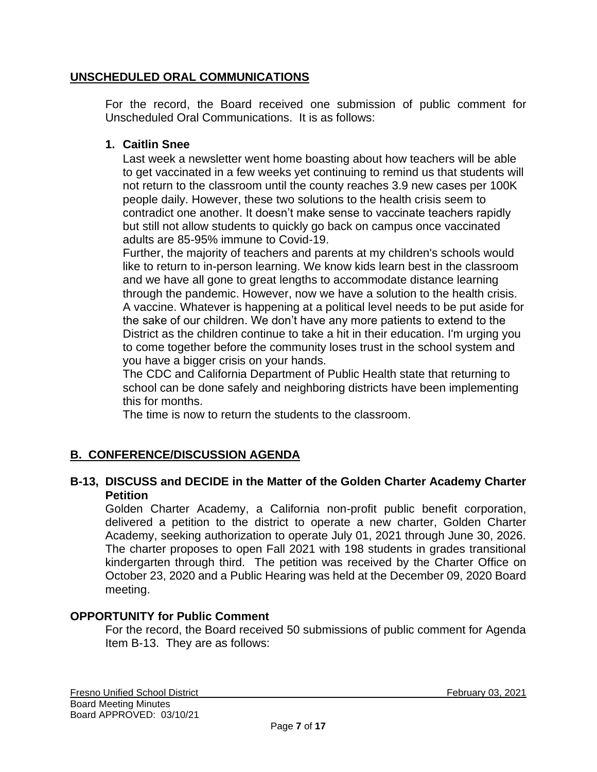# **UNSCHEDULED ORAL COMMUNICATIONS**

For the record, the Board received one submission of public comment for Unscheduled Oral Communications. It is as follows:

# **1. Caitlin Snee**

Last week a newsletter went home boasting about how teachers will be able to get vaccinated in a few weeks yet continuing to remind us that students will not return to the classroom until the county reaches 3.9 new cases per 100K people daily. However, these two solutions to the health crisis seem to contradict one another. It doesn't make sense to vaccinate teachers rapidly but still not allow students to quickly go back on campus once vaccinated adults are 85-95% immune to Covid-19.

Further, the majority of teachers and parents at my children's schools would like to return to in-person learning. We know kids learn best in the classroom and we have all gone to great lengths to accommodate distance learning through the pandemic. However, now we have a solution to the health crisis. A vaccine. Whatever is happening at a political level needs to be put aside for the sake of our children. We don't have any more patients to extend to the District as the children continue to take a hit in their education. I'm urging you to come together before the community loses trust in the school system and you have a bigger crisis on your hands.

The CDC and California Department of Public Health state that returning to school can be done safely and neighboring districts have been implementing this for months.

The time is now to return the students to the classroom.

# **B. CONFERENCE/DISCUSSION AGENDA**

### **B-13, DISCUSS and DECIDE in the Matter of the Golden Charter Academy Charter Petition**

Golden Charter Academy, a California non-profit public benefit corporation, delivered a petition to the district to operate a new charter, Golden Charter Academy, seeking authorization to operate July 01, 2021 through June 30, 2026. The charter proposes to open Fall 2021 with 198 students in grades transitional kindergarten through third. The petition was received by the Charter Office on October 23, 2020 and a Public Hearing was held at the December 09, 2020 Board meeting.

# **OPPORTUNITY for Public Comment**

For the record, the Board received 50 submissions of public comment for Agenda Item B-13. They are as follows: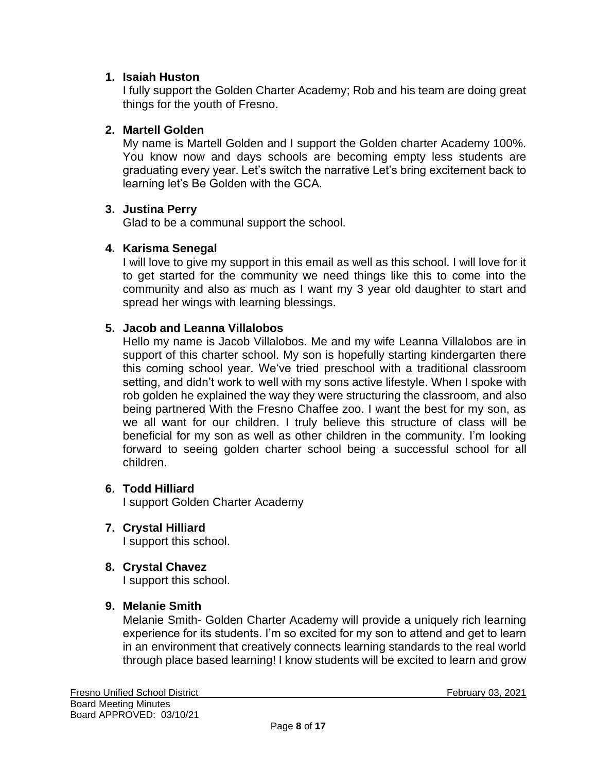# **1. Isaiah Huston**

I fully support the Golden Charter Academy; Rob and his team are doing great things for the youth of Fresno.

### **2. Martell Golden**

My name is Martell Golden and I support the Golden charter Academy 100%. You know now and days schools are becoming empty less students are graduating every year. Let's switch the narrative Let's bring excitement back to learning let's Be Golden with the GCA.

#### **3. Justina Perry**

Glad to be a communal support the school.

### **4. Karisma Senegal**

I will love to give my support in this email as well as this school. I will love for it to get started for the community we need things like this to come into the community and also as much as I want my 3 year old daughter to start and spread her wings with learning blessings.

### **5. Jacob and Leanna Villalobos**

Hello my name is Jacob Villalobos. Me and my wife Leanna Villalobos are in support of this charter school. My son is hopefully starting kindergarten there this coming school year. We've tried preschool with a traditional classroom setting, and didn't work to well with my sons active lifestyle. When I spoke with rob golden he explained the way they were structuring the classroom, and also being partnered With the Fresno Chaffee zoo. I want the best for my son, as we all want for our children. I truly believe this structure of class will be beneficial for my son as well as other children in the community. I'm looking forward to seeing golden charter school being a successful school for all children.

#### **6. Todd Hilliard**

I support Golden Charter Academy

**7. Crystal Hilliard**

I support this school.

**8. Crystal Chavez**

I support this school.

#### **9. Melanie Smith**

Melanie Smith- Golden Charter Academy will provide a uniquely rich learning experience for its students. I'm so excited for my son to attend and get to learn in an environment that creatively connects learning standards to the real world through place based learning! I know students will be excited to learn and grow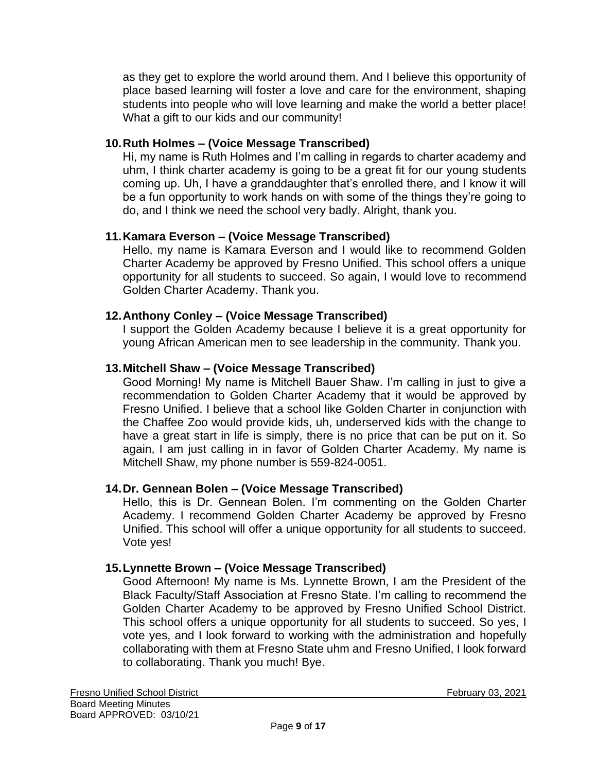as they get to explore the world around them. And I believe this opportunity of place based learning will foster a love and care for the environment, shaping students into people who will love learning and make the world a better place! What a gift to our kids and our community!

# **10.Ruth Holmes – (Voice Message Transcribed)**

Hi, my name is Ruth Holmes and I'm calling in regards to charter academy and uhm, I think charter academy is going to be a great fit for our young students coming up. Uh, I have a granddaughter that's enrolled there, and I know it will be a fun opportunity to work hands on with some of the things they're going to do, and I think we need the school very badly. Alright, thank you.

# **11.Kamara Everson – (Voice Message Transcribed)**

Hello, my name is Kamara Everson and I would like to recommend Golden Charter Academy be approved by Fresno Unified. This school offers a unique opportunity for all students to succeed. So again, I would love to recommend Golden Charter Academy. Thank you.

# **12.Anthony Conley – (Voice Message Transcribed)**

I support the Golden Academy because I believe it is a great opportunity for young African American men to see leadership in the community. Thank you.

# **13.Mitchell Shaw – (Voice Message Transcribed)**

Good Morning! My name is Mitchell Bauer Shaw. I'm calling in just to give a recommendation to Golden Charter Academy that it would be approved by Fresno Unified. I believe that a school like Golden Charter in conjunction with the Chaffee Zoo would provide kids, uh, underserved kids with the change to have a great start in life is simply, there is no price that can be put on it. So again, I am just calling in in favor of Golden Charter Academy. My name is Mitchell Shaw, my phone number is 559-824-0051.

# **14.Dr. Gennean Bolen – (Voice Message Transcribed)**

Hello, this is Dr. Gennean Bolen. I'm commenting on the Golden Charter Academy. I recommend Golden Charter Academy be approved by Fresno Unified. This school will offer a unique opportunity for all students to succeed. Vote yes!

# **15.Lynnette Brown – (Voice Message Transcribed)**

Good Afternoon! My name is Ms. Lynnette Brown, I am the President of the Black Faculty/Staff Association at Fresno State. I'm calling to recommend the Golden Charter Academy to be approved by Fresno Unified School District. This school offers a unique opportunity for all students to succeed. So yes, I vote yes, and I look forward to working with the administration and hopefully collaborating with them at Fresno State uhm and Fresno Unified, I look forward to collaborating. Thank you much! Bye.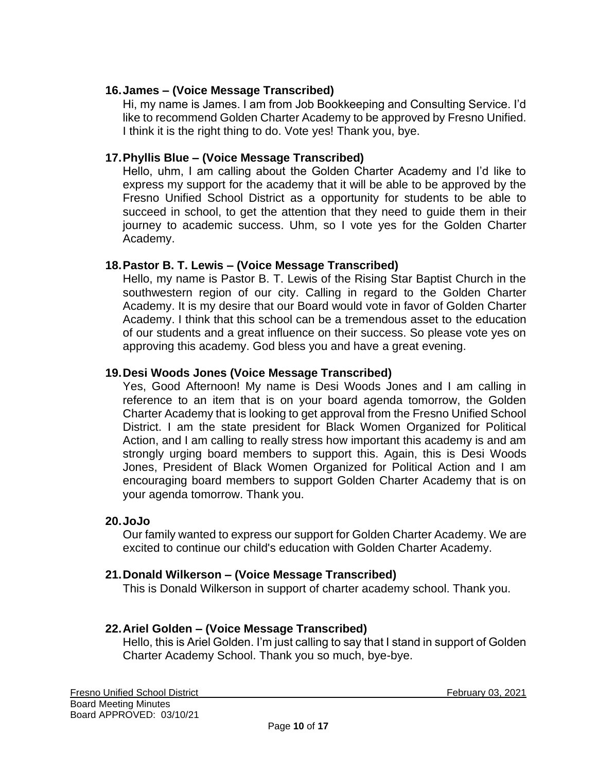# **16.James – (Voice Message Transcribed)**

Hi, my name is James. I am from Job Bookkeeping and Consulting Service. I'd like to recommend Golden Charter Academy to be approved by Fresno Unified. I think it is the right thing to do. Vote yes! Thank you, bye.

### **17.Phyllis Blue – (Voice Message Transcribed)**

Hello, uhm, I am calling about the Golden Charter Academy and I'd like to express my support for the academy that it will be able to be approved by the Fresno Unified School District as a opportunity for students to be able to succeed in school, to get the attention that they need to guide them in their journey to academic success. Uhm, so I vote yes for the Golden Charter Academy.

#### **18.Pastor B. T. Lewis – (Voice Message Transcribed)**

Hello, my name is Pastor B. T. Lewis of the Rising Star Baptist Church in the southwestern region of our city. Calling in regard to the Golden Charter Academy. It is my desire that our Board would vote in favor of Golden Charter Academy. I think that this school can be a tremendous asset to the education of our students and a great influence on their success. So please vote yes on approving this academy. God bless you and have a great evening.

### **19.Desi Woods Jones (Voice Message Transcribed)**

Yes, Good Afternoon! My name is Desi Woods Jones and I am calling in reference to an item that is on your board agenda tomorrow, the Golden Charter Academy that is looking to get approval from the Fresno Unified School District. I am the state president for Black Women Organized for Political Action, and I am calling to really stress how important this academy is and am strongly urging board members to support this. Again, this is Desi Woods Jones, President of Black Women Organized for Political Action and I am encouraging board members to support Golden Charter Academy that is on your agenda tomorrow. Thank you.

#### **20.JoJo**

Our family wanted to express our support for Golden Charter Academy. We are excited to continue our child's education with Golden Charter Academy.

#### **21.Donald Wilkerson – (Voice Message Transcribed)**

This is Donald Wilkerson in support of charter academy school. Thank you.

# **22.Ariel Golden – (Voice Message Transcribed)**

Hello, this is Ariel Golden. I'm just calling to say that I stand in support of Golden Charter Academy School. Thank you so much, bye-bye.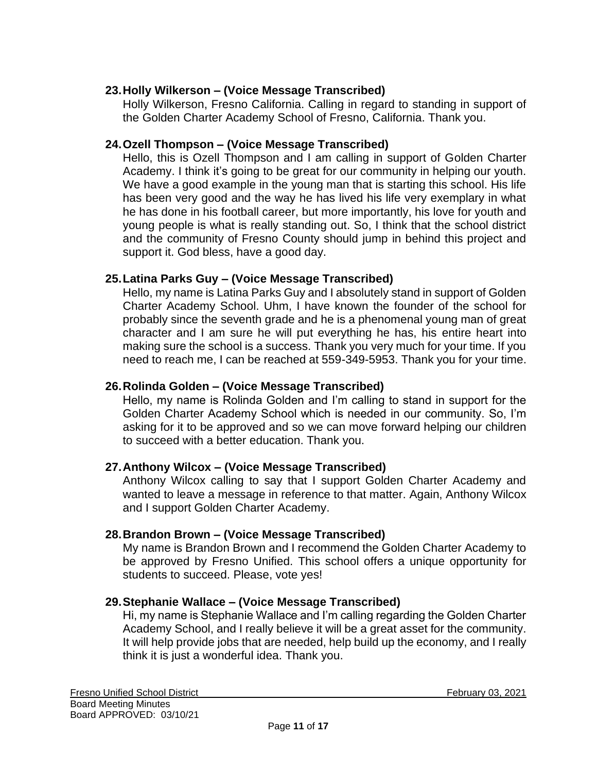# **23.Holly Wilkerson – (Voice Message Transcribed)**

Holly Wilkerson, Fresno California. Calling in regard to standing in support of the Golden Charter Academy School of Fresno, California. Thank you.

# **24.Ozell Thompson – (Voice Message Transcribed)**

Hello, this is Ozell Thompson and I am calling in support of Golden Charter Academy. I think it's going to be great for our community in helping our youth. We have a good example in the young man that is starting this school. His life has been very good and the way he has lived his life very exemplary in what he has done in his football career, but more importantly, his love for youth and young people is what is really standing out. So, I think that the school district and the community of Fresno County should jump in behind this project and support it. God bless, have a good day.

# **25.Latina Parks Guy – (Voice Message Transcribed)**

Hello, my name is Latina Parks Guy and I absolutely stand in support of Golden Charter Academy School. Uhm, I have known the founder of the school for probably since the seventh grade and he is a phenomenal young man of great character and I am sure he will put everything he has, his entire heart into making sure the school is a success. Thank you very much for your time. If you need to reach me, I can be reached at 559-349-5953. Thank you for your time.

# **26.Rolinda Golden – (Voice Message Transcribed)**

Hello, my name is Rolinda Golden and I'm calling to stand in support for the Golden Charter Academy School which is needed in our community. So, I'm asking for it to be approved and so we can move forward helping our children to succeed with a better education. Thank you.

# **27.Anthony Wilcox – (Voice Message Transcribed)**

Anthony Wilcox calling to say that I support Golden Charter Academy and wanted to leave a message in reference to that matter. Again, Anthony Wilcox and I support Golden Charter Academy.

# **28.Brandon Brown – (Voice Message Transcribed)**

My name is Brandon Brown and I recommend the Golden Charter Academy to be approved by Fresno Unified. This school offers a unique opportunity for students to succeed. Please, vote yes!

# **29.Stephanie Wallace – (Voice Message Transcribed)**

Hi, my name is Stephanie Wallace and I'm calling regarding the Golden Charter Academy School, and I really believe it will be a great asset for the community. It will help provide jobs that are needed, help build up the economy, and I really think it is just a wonderful idea. Thank you.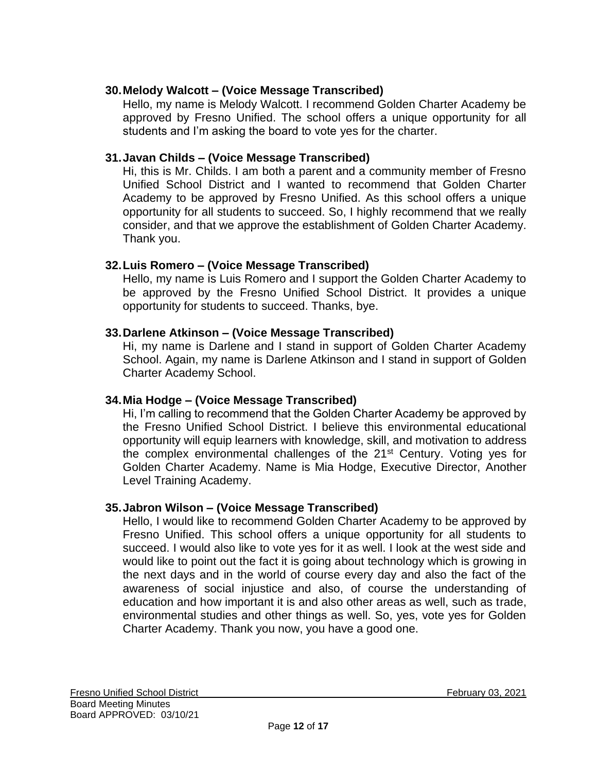# **30.Melody Walcott – (Voice Message Transcribed)**

Hello, my name is Melody Walcott. I recommend Golden Charter Academy be approved by Fresno Unified. The school offers a unique opportunity for all students and I'm asking the board to vote yes for the charter.

# **31.Javan Childs – (Voice Message Transcribed)**

Hi, this is Mr. Childs. I am both a parent and a community member of Fresno Unified School District and I wanted to recommend that Golden Charter Academy to be approved by Fresno Unified. As this school offers a unique opportunity for all students to succeed. So, I highly recommend that we really consider, and that we approve the establishment of Golden Charter Academy. Thank you.

# **32.Luis Romero – (Voice Message Transcribed)**

Hello, my name is Luis Romero and I support the Golden Charter Academy to be approved by the Fresno Unified School District. It provides a unique opportunity for students to succeed. Thanks, bye.

### **33.Darlene Atkinson – (Voice Message Transcribed)**

Hi, my name is Darlene and I stand in support of Golden Charter Academy School. Again, my name is Darlene Atkinson and I stand in support of Golden Charter Academy School.

# **34.Mia Hodge – (Voice Message Transcribed)**

Hi, I'm calling to recommend that the Golden Charter Academy be approved by the Fresno Unified School District. I believe this environmental educational opportunity will equip learners with knowledge, skill, and motivation to address the complex environmental challenges of the  $21<sup>st</sup>$  Century. Voting yes for Golden Charter Academy. Name is Mia Hodge, Executive Director, Another Level Training Academy.

# **35.Jabron Wilson – (Voice Message Transcribed)**

Hello, I would like to recommend Golden Charter Academy to be approved by Fresno Unified. This school offers a unique opportunity for all students to succeed. I would also like to vote yes for it as well. I look at the west side and would like to point out the fact it is going about technology which is growing in the next days and in the world of course every day and also the fact of the awareness of social injustice and also, of course the understanding of education and how important it is and also other areas as well, such as trade, environmental studies and other things as well. So, yes, vote yes for Golden Charter Academy. Thank you now, you have a good one.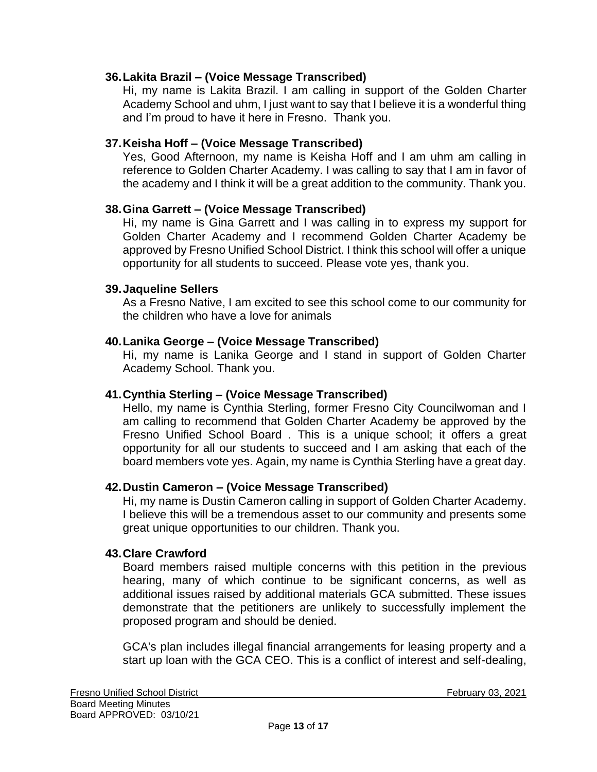### **36.Lakita Brazil – (Voice Message Transcribed)**

Hi, my name is Lakita Brazil. I am calling in support of the Golden Charter Academy School and uhm, I just want to say that I believe it is a wonderful thing and I'm proud to have it here in Fresno. Thank you.

### **37.Keisha Hoff – (Voice Message Transcribed)**

Yes, Good Afternoon, my name is Keisha Hoff and I am uhm am calling in reference to Golden Charter Academy. I was calling to say that I am in favor of the academy and I think it will be a great addition to the community. Thank you.

#### **38.Gina Garrett – (Voice Message Transcribed)**

Hi, my name is Gina Garrett and I was calling in to express my support for Golden Charter Academy and I recommend Golden Charter Academy be approved by Fresno Unified School District. I think this school will offer a unique opportunity for all students to succeed. Please vote yes, thank you.

#### **39.Jaqueline Sellers**

As a Fresno Native, I am excited to see this school come to our community for the children who have a love for animals

#### **40.Lanika George – (Voice Message Transcribed)**

Hi, my name is Lanika George and I stand in support of Golden Charter Academy School. Thank you.

#### **41.Cynthia Sterling – (Voice Message Transcribed)**

Hello, my name is Cynthia Sterling, former Fresno City Councilwoman and I am calling to recommend that Golden Charter Academy be approved by the Fresno Unified School Board . This is a unique school; it offers a great opportunity for all our students to succeed and I am asking that each of the board members vote yes. Again, my name is Cynthia Sterling have a great day.

#### **42.Dustin Cameron – (Voice Message Transcribed)**

Hi, my name is Dustin Cameron calling in support of Golden Charter Academy. I believe this will be a tremendous asset to our community and presents some great unique opportunities to our children. Thank you.

#### **43.Clare Crawford**

Board members raised multiple concerns with this petition in the previous hearing, many of which continue to be significant concerns, as well as additional issues raised by additional materials GCA submitted. These issues demonstrate that the petitioners are unlikely to successfully implement the proposed program and should be denied.

GCA's plan includes illegal financial arrangements for leasing property and a start up loan with the GCA CEO. This is a conflict of interest and self-dealing,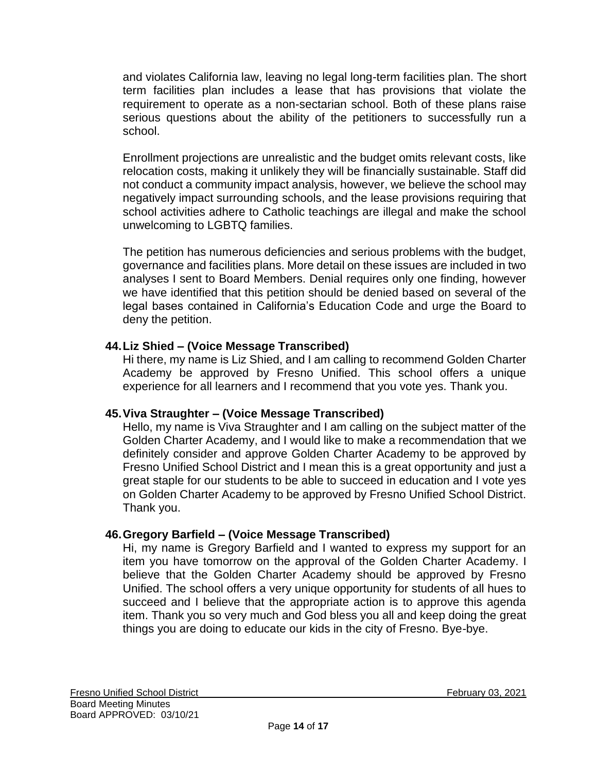and violates California law, leaving no legal long-term facilities plan. The short term facilities plan includes a lease that has provisions that violate the requirement to operate as a non-sectarian school. Both of these plans raise serious questions about the ability of the petitioners to successfully run a school.

Enrollment projections are unrealistic and the budget omits relevant costs, like relocation costs, making it unlikely they will be financially sustainable. Staff did not conduct a community impact analysis, however, we believe the school may negatively impact surrounding schools, and the lease provisions requiring that school activities adhere to Catholic teachings are illegal and make the school unwelcoming to LGBTQ families.

The petition has numerous deficiencies and serious problems with the budget, governance and facilities plans. More detail on these issues are included in two analyses I sent to Board Members. Denial requires only one finding, however we have identified that this petition should be denied based on several of the legal bases contained in California's Education Code and urge the Board to deny the petition.

# **44.Liz Shied – (Voice Message Transcribed)**

Hi there, my name is Liz Shied, and I am calling to recommend Golden Charter Academy be approved by Fresno Unified. This school offers a unique experience for all learners and I recommend that you vote yes. Thank you.

# **45.Viva Straughter – (Voice Message Transcribed)**

Hello, my name is Viva Straughter and I am calling on the subject matter of the Golden Charter Academy, and I would like to make a recommendation that we definitely consider and approve Golden Charter Academy to be approved by Fresno Unified School District and I mean this is a great opportunity and just a great staple for our students to be able to succeed in education and I vote yes on Golden Charter Academy to be approved by Fresno Unified School District. Thank you.

# **46.Gregory Barfield – (Voice Message Transcribed)**

Hi, my name is Gregory Barfield and I wanted to express my support for an item you have tomorrow on the approval of the Golden Charter Academy. I believe that the Golden Charter Academy should be approved by Fresno Unified. The school offers a very unique opportunity for students of all hues to succeed and I believe that the appropriate action is to approve this agenda item. Thank you so very much and God bless you all and keep doing the great things you are doing to educate our kids in the city of Fresno. Bye-bye.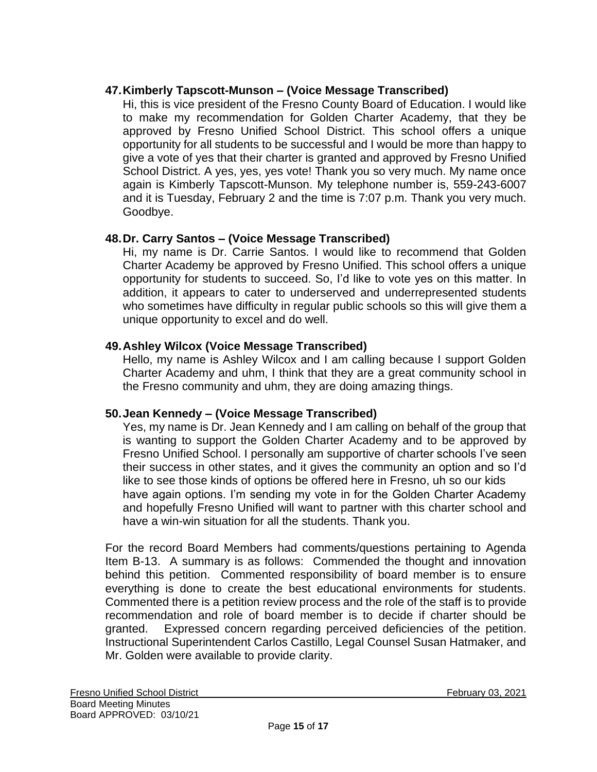# **47.Kimberly Tapscott-Munson – (Voice Message Transcribed)**

Hi, this is vice president of the Fresno County Board of Education. I would like to make my recommendation for Golden Charter Academy, that they be approved by Fresno Unified School District. This school offers a unique opportunity for all students to be successful and I would be more than happy to give a vote of yes that their charter is granted and approved by Fresno Unified School District. A yes, yes, yes vote! Thank you so very much. My name once again is Kimberly Tapscott-Munson. My telephone number is, 559-243-6007 and it is Tuesday, February 2 and the time is 7:07 p.m. Thank you very much. Goodbye.

# **48.Dr. Carry Santos – (Voice Message Transcribed)**

Hi, my name is Dr. Carrie Santos. I would like to recommend that Golden Charter Academy be approved by Fresno Unified. This school offers a unique opportunity for students to succeed. So, I'd like to vote yes on this matter. In addition, it appears to cater to underserved and underrepresented students who sometimes have difficulty in regular public schools so this will give them a unique opportunity to excel and do well.

# **49.Ashley Wilcox (Voice Message Transcribed)**

Hello, my name is Ashley Wilcox and I am calling because I support Golden Charter Academy and uhm, I think that they are a great community school in the Fresno community and uhm, they are doing amazing things.

# **50.Jean Kennedy – (Voice Message Transcribed)**

Yes, my name is Dr. Jean Kennedy and I am calling on behalf of the group that is wanting to support the Golden Charter Academy and to be approved by Fresno Unified School. I personally am supportive of charter schools I've seen their success in other states, and it gives the community an option and so I'd like to see those kinds of options be offered here in Fresno, uh so our kids have again options. I'm sending my vote in for the Golden Charter Academy and hopefully Fresno Unified will want to partner with this charter school and have a win-win situation for all the students. Thank you.

For the record Board Members had comments/questions pertaining to Agenda Item B-13. A summary is as follows: Commended the thought and innovation behind this petition. Commented responsibility of board member is to ensure everything is done to create the best educational environments for students. Commented there is a petition review process and the role of the staff is to provide recommendation and role of board member is to decide if charter should be granted. Expressed concern regarding perceived deficiencies of the petition. Instructional Superintendent Carlos Castillo, Legal Counsel Susan Hatmaker, and Mr. Golden were available to provide clarity.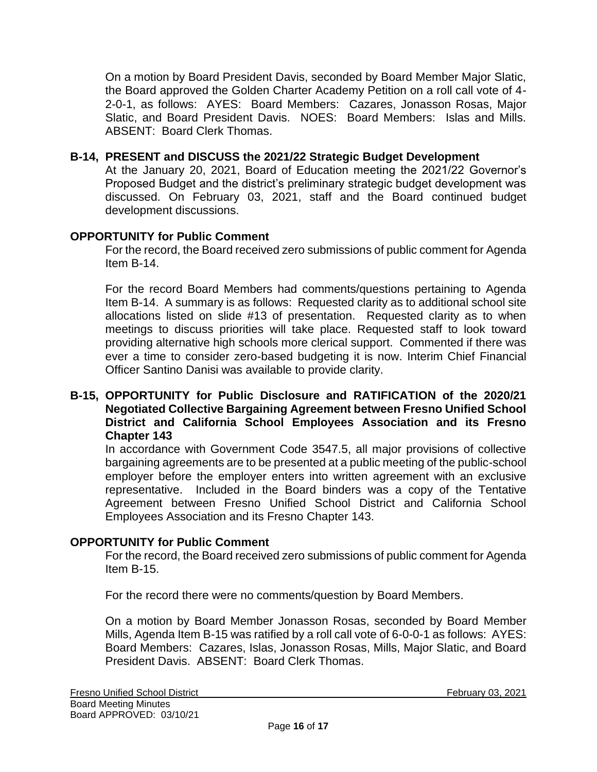On a motion by Board President Davis, seconded by Board Member Major Slatic, the Board approved the Golden Charter Academy Petition on a roll call vote of 4- 2-0-1, as follows: AYES: Board Members: Cazares, Jonasson Rosas, Major Slatic, and Board President Davis. NOES: Board Members: Islas and Mills. ABSENT: Board Clerk Thomas.

### **B-14, PRESENT and DISCUSS the 2021/22 Strategic Budget Development**

At the January 20, 2021, Board of Education meeting the 2021/22 Governor's Proposed Budget and the district's preliminary strategic budget development was discussed. On February 03, 2021, staff and the Board continued budget development discussions.

### **OPPORTUNITY for Public Comment**

For the record, the Board received zero submissions of public comment for Agenda Item B-14.

For the record Board Members had comments/questions pertaining to Agenda Item B-14. A summary is as follows: Requested clarity as to additional school site allocations listed on slide #13 of presentation. Requested clarity as to when meetings to discuss priorities will take place. Requested staff to look toward providing alternative high schools more clerical support. Commented if there was ever a time to consider zero-based budgeting it is now. Interim Chief Financial Officer Santino Danisi was available to provide clarity.

#### **B-15, OPPORTUNITY for Public Disclosure and RATIFICATION of the 2020/21 Negotiated Collective Bargaining Agreement between Fresno Unified School District and California School Employees Association and its Fresno Chapter 143**

In accordance with Government Code 3547.5, all major provisions of collective bargaining agreements are to be presented at a public meeting of the public-school employer before the employer enters into written agreement with an exclusive representative. Included in the Board binders was a copy of the Tentative Agreement between Fresno Unified School District and California School Employees Association and its Fresno Chapter 143.

#### **OPPORTUNITY for Public Comment**

For the record, the Board received zero submissions of public comment for Agenda Item B-15.

For the record there were no comments/question by Board Members.

On a motion by Board Member Jonasson Rosas, seconded by Board Member Mills, Agenda Item B-15 was ratified by a roll call vote of 6-0-0-1 as follows: AYES: Board Members: Cazares, Islas, Jonasson Rosas, Mills, Major Slatic, and Board President Davis. ABSENT: Board Clerk Thomas.